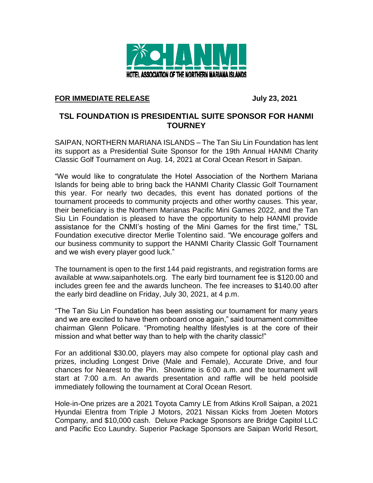

## **FOR IMMEDIATE RELEASE July 23, 2021**

## **TSL FOUNDATION IS PRESIDENTIAL SUITE SPONSOR FOR HANMI TOURNEY**

SAIPAN, NORTHERN MARIANA ISLANDS – The Tan Siu Lin Foundation has lent its support as a Presidential Suite Sponsor for the 19th Annual HANMI Charity Classic Golf Tournament on Aug. 14, 2021 at Coral Ocean Resort in Saipan.

"We would like to congratulate the Hotel Association of the Northern Mariana Islands for being able to bring back the HANMI Charity Classic Golf Tournament this year. For nearly two decades, this event has donated portions of the tournament proceeds to community projects and other worthy causes. This year, their beneficiary is the Northern Marianas Pacific Mini Games 2022, and the Tan Siu Lin Foundation is pleased to have the opportunity to help HANMI provide assistance for the CNMI's hosting of the Mini Games for the first time," TSL Foundation executive director Merlie Tolentino said. "We encourage golfers and our business community to support the HANMI Charity Classic Golf Tournament and we wish every player good luck."

The tournament is open to the first 144 paid registrants, and registration forms are available at www.saipanhotels.org. The early bird tournament fee is \$120.00 and includes green fee and the awards luncheon. The fee increases to \$140.00 after the early bird deadline on Friday, July 30, 2021, at 4 p.m.

"The Tan Siu Lin Foundation has been assisting our tournament for many years and we are excited to have them onboard once again," said tournament committee chairman Glenn Policare. "Promoting healthy lifestyles is at the core of their mission and what better way than to help with the charity classic!"

For an additional \$30.00, players may also compete for optional play cash and prizes, including Longest Drive (Male and Female), Accurate Drive, and four chances for Nearest to the Pin. Showtime is 6:00 a.m. and the tournament will start at 7:00 a.m. An awards presentation and raffle will be held poolside immediately following the tournament at Coral Ocean Resort.

Hole-in-One prizes are a 2021 Toyota Camry LE from Atkins Kroll Saipan, a 2021 Hyundai Elentra from Triple J Motors, 2021 Nissan Kicks from Joeten Motors Company, and \$10,000 cash. Deluxe Package Sponsors are Bridge Capitol LLC and Pacific Eco Laundry. Superior Package Sponsors are Saipan World Resort,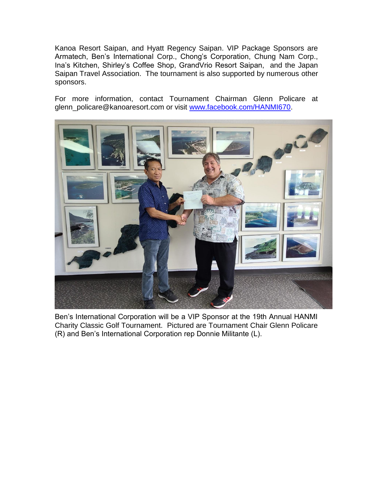Kanoa Resort Saipan, and Hyatt Regency Saipan. VIP Package Sponsors are Armatech, Ben's International Corp., Chong's Corporation, Chung Nam Corp., Ina's Kitchen, Shirley's Coffee Shop, GrandVrio Resort Saipan, and the Japan Saipan Travel Association. The tournament is also supported by numerous other sponsors.

For more information, contact Tournament Chairman Glenn Policare at glenn\_policare@kanoaresort.com or visit [www.facebook.com/HANMI670.](http://www.facebook.com/HANMI670)



Ben's International Corporation will be a VIP Sponsor at the 19th Annual HANMI Charity Classic Golf Tournament. Pictured are Tournament Chair Glenn Policare (R) and Ben's International Corporation rep Donnie Militante (L).